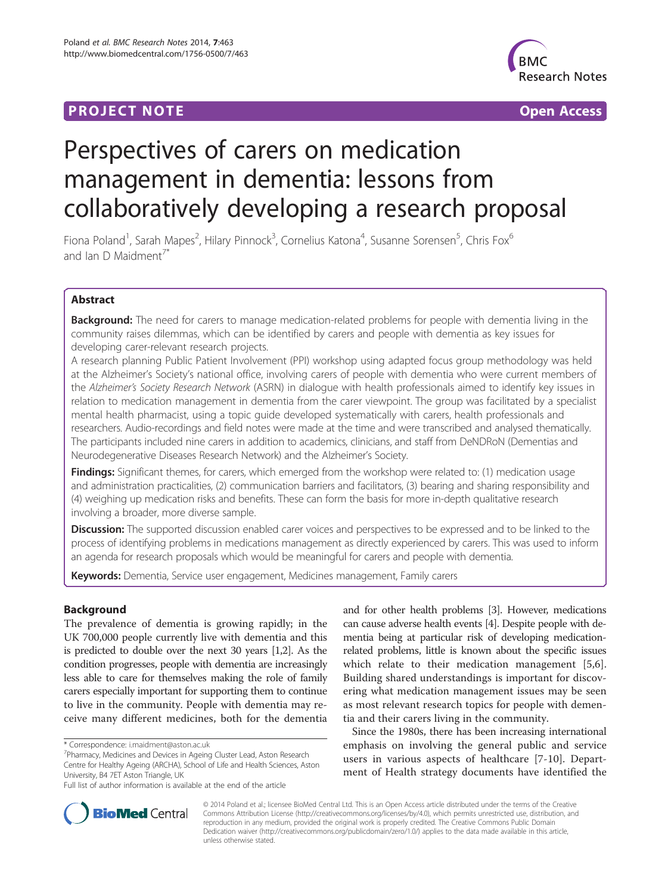## **PROJECT NOTE** *PROJECT NOTE*



# Perspectives of carers on medication management in dementia: lessons from collaboratively developing a research proposal

Fiona Poland<sup>1</sup>, Sarah Mapes<sup>2</sup>, Hilary Pinnock<sup>3</sup>, Cornelius Katona<sup>4</sup>, Susanne Sorensen<sup>5</sup>, Chris Fox<sup>6</sup> and Ian D Maidment<sup>7\*</sup>

## Abstract

Background: The need for carers to manage medication-related problems for people with dementia living in the community raises dilemmas, which can be identified by carers and people with dementia as key issues for developing carer-relevant research projects.

A research planning Public Patient Involvement (PPI) workshop using adapted focus group methodology was held at the Alzheimer's Society's national office, involving carers of people with dementia who were current members of the Alzheimer's Society Research Network (ASRN) in dialogue with health professionals aimed to identify key issues in relation to medication management in dementia from the carer viewpoint. The group was facilitated by a specialist mental health pharmacist, using a topic guide developed systematically with carers, health professionals and researchers. Audio-recordings and field notes were made at the time and were transcribed and analysed thematically. The participants included nine carers in addition to academics, clinicians, and staff from DeNDRoN (Dementias and Neurodegenerative Diseases Research Network) and the Alzheimer's Society.

Findings: Significant themes, for carers, which emerged from the workshop were related to: (1) medication usage and administration practicalities, (2) communication barriers and facilitators, (3) bearing and sharing responsibility and (4) weighing up medication risks and benefits. These can form the basis for more in-depth qualitative research involving a broader, more diverse sample.

**Discussion:** The supported discussion enabled carer voices and perspectives to be expressed and to be linked to the process of identifying problems in medications management as directly experienced by carers. This was used to inform an agenda for research proposals which would be meaningful for carers and people with dementia.

Keywords: Dementia, Service user engagement, Medicines management, Family carers

## Background

The prevalence of dementia is growing rapidly; in the UK 700,000 people currently live with dementia and this is predicted to double over the next 30 years [\[1,2\]](#page-8-0). As the condition progresses, people with dementia are increasingly less able to care for themselves making the role of family carers especially important for supporting them to continue to live in the community. People with dementia may receive many different medicines, both for the dementia

and for other health problems [\[3](#page-8-0)]. However, medications can cause adverse health events [\[4](#page-8-0)]. Despite people with dementia being at particular risk of developing medicationrelated problems, little is known about the specific issues which relate to their medication management [[5,6](#page-8-0)]. Building shared understandings is important for discovering what medication management issues may be seen as most relevant research topics for people with dementia and their carers living in the community.

Since the 1980s, there has been increasing international emphasis on involving the general public and service users in various aspects of healthcare [[7-10](#page-8-0)]. Department of Health strategy documents have identified the



© 2014 Poland et al.; licensee BioMed Central Ltd. This is an Open Access article distributed under the terms of the Creative Commons Attribution License [\(http://creativecommons.org/licenses/by/4.0\)](http://creativecommons.org/licenses/by/4.0), which permits unrestricted use, distribution, and reproduction in any medium, provided the original work is properly credited. The Creative Commons Public Domain Dedication waiver [\(http://creativecommons.org/publicdomain/zero/1.0/](http://creativecommons.org/publicdomain/zero/1.0/)) applies to the data made available in this article, unless otherwise stated.

<sup>\*</sup> Correspondence: [i.maidment@aston.ac.uk](mailto:i.maidment@aston.ac.uk) <sup>7</sup>

 $7$ Pharmacy, Medicines and Devices in Ageing Cluster Lead, Aston Research Centre for Healthy Ageing (ARCHA), School of Life and Health Sciences, Aston University, B4 7ET Aston Triangle, UK

Full list of author information is available at the end of the article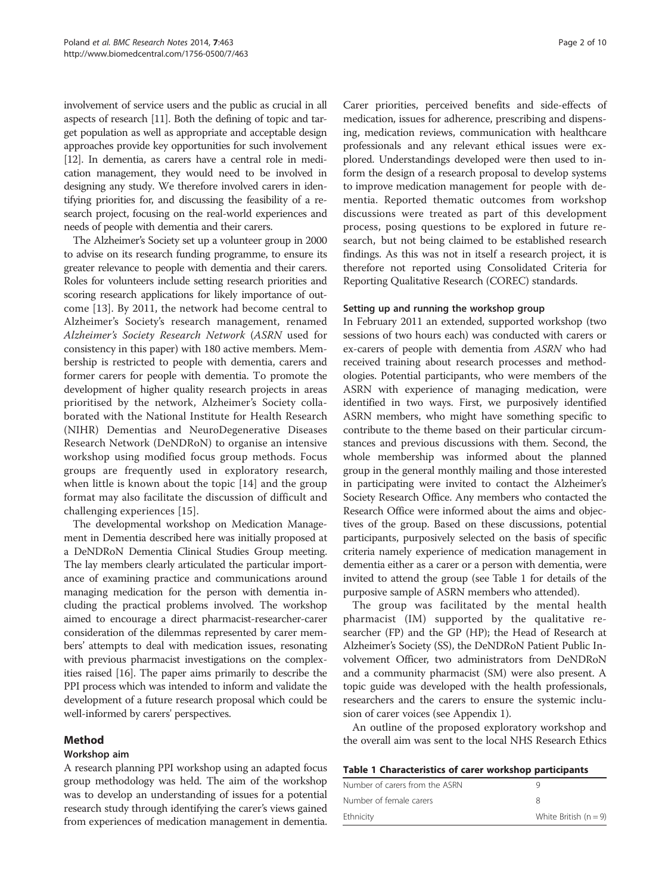involvement of service users and the public as crucial in all aspects of research [\[11](#page-8-0)]. Both the defining of topic and target population as well as appropriate and acceptable design approaches provide key opportunities for such involvement [[12](#page-8-0)]. In dementia, as carers have a central role in medication management, they would need to be involved in designing any study. We therefore involved carers in identifying priorities for, and discussing the feasibility of a research project, focusing on the real-world experiences and needs of people with dementia and their carers.

The Alzheimer's Society set up a volunteer group in 2000 to advise on its research funding programme, to ensure its greater relevance to people with dementia and their carers. Roles for volunteers include setting research priorities and scoring research applications for likely importance of outcome [[13\]](#page-8-0). By 2011, the network had become central to Alzheimer's Society's research management, renamed Alzheimer's Society Research Network (ASRN used for consistency in this paper) with 180 active members. Membership is restricted to people with dementia, carers and former carers for people with dementia. To promote the development of higher quality research projects in areas prioritised by the network, Alzheimer's Society collaborated with the National Institute for Health Research (NIHR) Dementias and NeuroDegenerative Diseases Research Network (DeNDRoN) to organise an intensive workshop using modified focus group methods. Focus groups are frequently used in exploratory research, when little is known about the topic [\[14](#page-8-0)] and the group format may also facilitate the discussion of difficult and challenging experiences [[15](#page-8-0)].

The developmental workshop on Medication Management in Dementia described here was initially proposed at a DeNDRoN Dementia Clinical Studies Group meeting. The lay members clearly articulated the particular importance of examining practice and communications around managing medication for the person with dementia including the practical problems involved. The workshop aimed to encourage a direct pharmacist-researcher-carer consideration of the dilemmas represented by carer members' attempts to deal with medication issues, resonating with previous pharmacist investigations on the complexities raised [[16](#page-9-0)]. The paper aims primarily to describe the PPI process which was intended to inform and validate the development of a future research proposal which could be well-informed by carers' perspectives.

## Method

#### Workshop aim

A research planning PPI workshop using an adapted focus group methodology was held. The aim of the workshop was to develop an understanding of issues for a potential research study through identifying the carer's views gained from experiences of medication management in dementia.

Carer priorities, perceived benefits and side-effects of medication, issues for adherence, prescribing and dispensing, medication reviews, communication with healthcare professionals and any relevant ethical issues were explored. Understandings developed were then used to inform the design of a research proposal to develop systems to improve medication management for people with dementia. Reported thematic outcomes from workshop discussions were treated as part of this development process, posing questions to be explored in future research, but not being claimed to be established research findings. As this was not in itself a research project, it is therefore not reported using Consolidated Criteria for Reporting Qualitative Research (COREC) standards.

#### Setting up and running the workshop group

In February 2011 an extended, supported workshop (two sessions of two hours each) was conducted with carers or ex-carers of people with dementia from ASRN who had received training about research processes and methodologies. Potential participants, who were members of the ASRN with experience of managing medication, were identified in two ways. First, we purposively identified ASRN members, who might have something specific to contribute to the theme based on their particular circumstances and previous discussions with them. Second, the whole membership was informed about the planned group in the general monthly mailing and those interested in participating were invited to contact the Alzheimer's Society Research Office. Any members who contacted the Research Office were informed about the aims and objectives of the group. Based on these discussions, potential participants, purposively selected on the basis of specific criteria namely experience of medication management in dementia either as a carer or a person with dementia, were invited to attend the group (see Table 1 for details of the purposive sample of ASRN members who attended).

The group was facilitated by the mental health pharmacist (IM) supported by the qualitative researcher (FP) and the GP (HP); the Head of Research at Alzheimer's Society (SS), the DeNDRoN Patient Public Involvement Officer, two administrators from DeNDRoN and a community pharmacist (SM) were also present. A topic guide was developed with the health professionals, researchers and the carers to ensure the systemic inclusion of carer voices (see [Appendix 1\)](#page-5-0).

An outline of the proposed exploratory workshop and the overall aim was sent to the local NHS Research Ethics

|  | Table 1 Characteristics of carer workshop participants |  |  |  |  |  |
|--|--------------------------------------------------------|--|--|--|--|--|
|--|--------------------------------------------------------|--|--|--|--|--|

| Number of carers from the ASRN |                         |
|--------------------------------|-------------------------|
| Number of female carers        |                         |
| Ethnicity                      | White British $(n = 9)$ |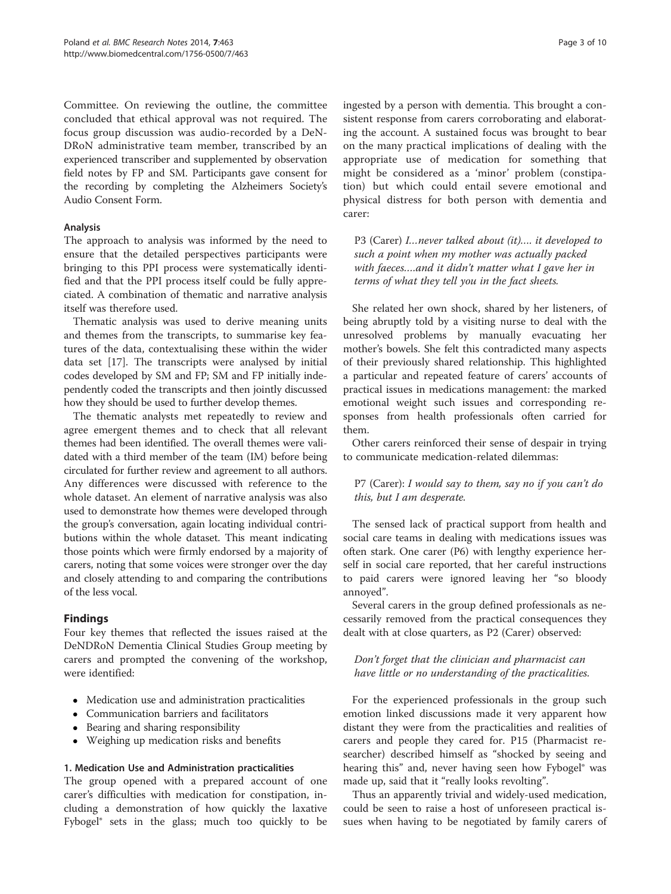Committee. On reviewing the outline, the committee concluded that ethical approval was not required. The focus group discussion was audio-recorded by a DeN-DRoN administrative team member, transcribed by an experienced transcriber and supplemented by observation field notes by FP and SM. Participants gave consent for the recording by completing the Alzheimers Society's Audio Consent Form.

## Analysis

The approach to analysis was informed by the need to ensure that the detailed perspectives participants were bringing to this PPI process were systematically identified and that the PPI process itself could be fully appreciated. A combination of thematic and narrative analysis itself was therefore used.

Thematic analysis was used to derive meaning units and themes from the transcripts, to summarise key features of the data, contextualising these within the wider data set [[17\]](#page-9-0). The transcripts were analysed by initial codes developed by SM and FP; SM and FP initially independently coded the transcripts and then jointly discussed how they should be used to further develop themes.

The thematic analysts met repeatedly to review and agree emergent themes and to check that all relevant themes had been identified. The overall themes were validated with a third member of the team (IM) before being circulated for further review and agreement to all authors. Any differences were discussed with reference to the whole dataset. An element of narrative analysis was also used to demonstrate how themes were developed through the group's conversation, again locating individual contributions within the whole dataset. This meant indicating those points which were firmly endorsed by a majority of carers, noting that some voices were stronger over the day and closely attending to and comparing the contributions of the less vocal.

#### Findings

Four key themes that reflected the issues raised at the DeNDRoN Dementia Clinical Studies Group meeting by carers and prompted the convening of the workshop, were identified:

- Medication use and administration practicalities
- Communication barriers and facilitators
- Bearing and sharing responsibility
- Weighing up medication risks and benefits

#### 1. Medication Use and Administration practicalities

The group opened with a prepared account of one carer's difficulties with medication for constipation, including a demonstration of how quickly the laxative Fybogel® sets in the glass; much too quickly to be

ingested by a person with dementia. This brought a consistent response from carers corroborating and elaborating the account. A sustained focus was brought to bear on the many practical implications of dealing with the appropriate use of medication for something that might be considered as a 'minor' problem (constipation) but which could entail severe emotional and physical distress for both person with dementia and carer:

P3 (Carer) I...never talked about (it).... it developed to such a point when my mother was actually packed with faeces….and it didn't matter what I gave her in terms of what they tell you in the fact sheets.

She related her own shock, shared by her listeners, of being abruptly told by a visiting nurse to deal with the unresolved problems by manually evacuating her mother's bowels. She felt this contradicted many aspects of their previously shared relationship. This highlighted a particular and repeated feature of carers' accounts of practical issues in medications management: the marked emotional weight such issues and corresponding responses from health professionals often carried for them.

Other carers reinforced their sense of despair in trying to communicate medication-related dilemmas:

## P7 (Carer): I would say to them, say no if you can't do this, but I am desperate.

The sensed lack of practical support from health and social care teams in dealing with medications issues was often stark. One carer (P6) with lengthy experience herself in social care reported, that her careful instructions to paid carers were ignored leaving her "so bloody annoyed".

Several carers in the group defined professionals as necessarily removed from the practical consequences they dealt with at close quarters, as P2 (Carer) observed:

Don't forget that the clinician and pharmacist can have little or no understanding of the practicalities.

For the experienced professionals in the group such emotion linked discussions made it very apparent how distant they were from the practicalities and realities of carers and people they cared for. P15 (Pharmacist researcher) described himself as "shocked by seeing and hearing this" and, never having seen how Fybogel® was made up, said that it "really looks revolting".

Thus an apparently trivial and widely-used medication, could be seen to raise a host of unforeseen practical issues when having to be negotiated by family carers of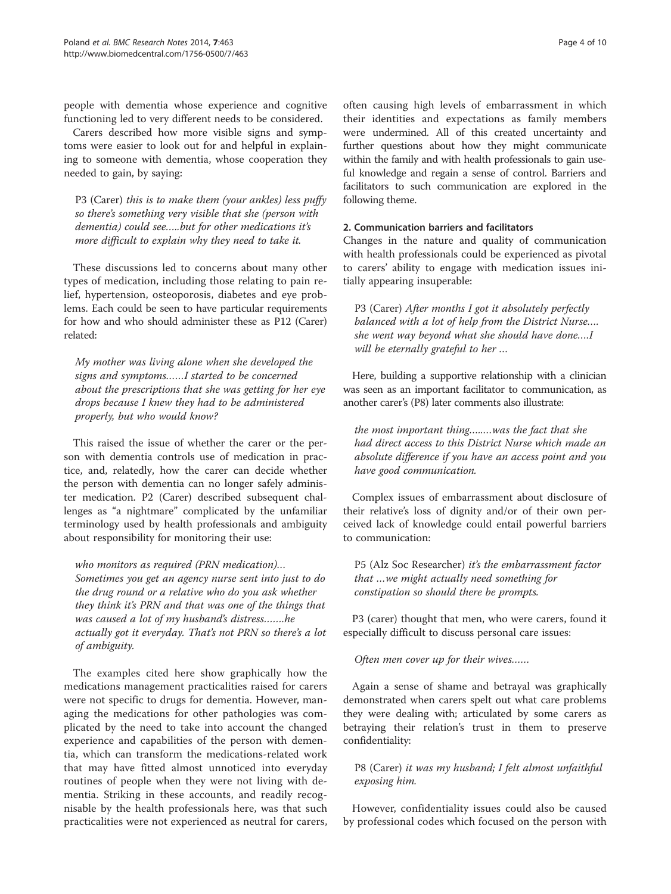people with dementia whose experience and cognitive functioning led to very different needs to be considered.

Carers described how more visible signs and symptoms were easier to look out for and helpful in explaining to someone with dementia, whose cooperation they needed to gain, by saying:

P3 (Carer) this is to make them (your ankles) less puffy so there's something very visible that she (person with dementia) could see…..but for other medications it's more difficult to explain why they need to take it.

These discussions led to concerns about many other types of medication, including those relating to pain relief, hypertension, osteoporosis, diabetes and eye problems. Each could be seen to have particular requirements for how and who should administer these as P12 (Carer) related:

My mother was living alone when she developed the signs and symptoms……I started to be concerned about the prescriptions that she was getting for her eye drops because I knew they had to be administered properly, but who would know?

This raised the issue of whether the carer or the person with dementia controls use of medication in practice, and, relatedly, how the carer can decide whether the person with dementia can no longer safely administer medication. P2 (Carer) described subsequent challenges as "a nightmare" complicated by the unfamiliar terminology used by health professionals and ambiguity about responsibility for monitoring their use:

who monitors as required (PRN medication)... Sometimes you get an agency nurse sent into just to do the drug round or a relative who do you ask whether they think it's PRN and that was one of the things that was caused a lot of my husband's distress…….he actually got it everyday. That's not PRN so there's a lot of ambiguity.

The examples cited here show graphically how the medications management practicalities raised for carers were not specific to drugs for dementia. However, managing the medications for other pathologies was complicated by the need to take into account the changed experience and capabilities of the person with dementia, which can transform the medications-related work that may have fitted almost unnoticed into everyday routines of people when they were not living with dementia. Striking in these accounts, and readily recognisable by the health professionals here, was that such practicalities were not experienced as neutral for carers,

often causing high levels of embarrassment in which their identities and expectations as family members were undermined. All of this created uncertainty and further questions about how they might communicate within the family and with health professionals to gain useful knowledge and regain a sense of control. Barriers and facilitators to such communication are explored in the following theme.

#### 2. Communication barriers and facilitators

Changes in the nature and quality of communication with health professionals could be experienced as pivotal to carers' ability to engage with medication issues initially appearing insuperable:

P3 (Carer) After months I got it absolutely perfectly balanced with a lot of help from the District Nurse…. she went way beyond what she should have done….I will be eternally grateful to her ...

Here, building a supportive relationship with a clinician was seen as an important facilitator to communication, as another carer's (P8) later comments also illustrate:

the most important thing…..…was the fact that she had direct access to this District Nurse which made an absolute difference if you have an access point and you have good communication.

Complex issues of embarrassment about disclosure of their relative's loss of dignity and/or of their own perceived lack of knowledge could entail powerful barriers to communication:

P5 (Alz Soc Researcher) it's the embarrassment factor that …we might actually need something for constipation so should there be prompts.

P3 (carer) thought that men, who were carers, found it especially difficult to discuss personal care issues:

Often men cover up for their wives……

Again a sense of shame and betrayal was graphically demonstrated when carers spelt out what care problems they were dealing with; articulated by some carers as betraying their relation's trust in them to preserve confidentiality:

## P8 (Carer) it was my husband; I felt almost unfaithful exposing him.

However, confidentiality issues could also be caused by professional codes which focused on the person with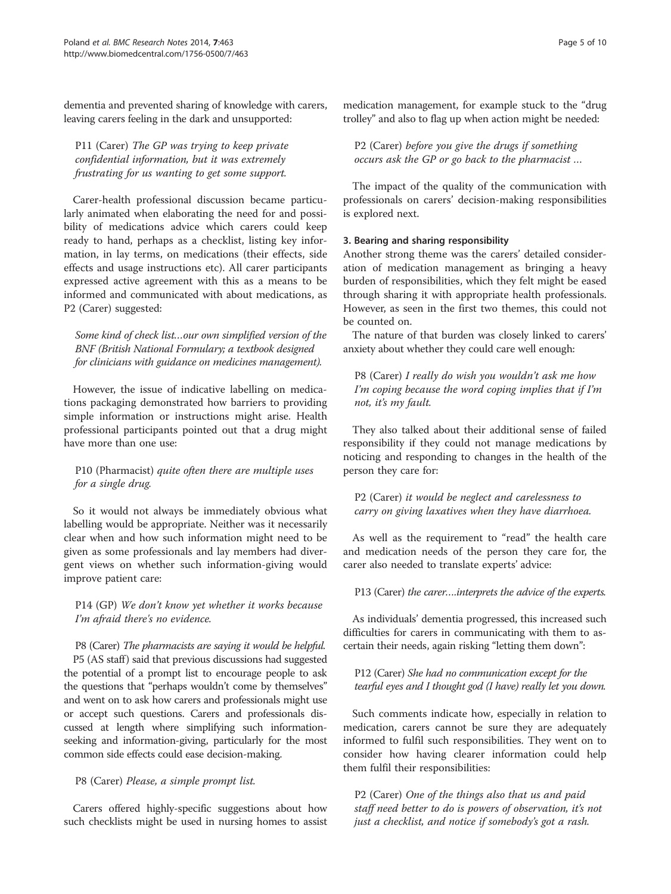dementia and prevented sharing of knowledge with carers, leaving carers feeling in the dark and unsupported:

P11 (Carer) The GP was trying to keep private confidential information, but it was extremely frustrating for us wanting to get some support.

Carer-health professional discussion became particularly animated when elaborating the need for and possibility of medications advice which carers could keep ready to hand, perhaps as a checklist, listing key information, in lay terms, on medications (their effects, side effects and usage instructions etc). All carer participants expressed active agreement with this as a means to be informed and communicated with about medications, as P2 (Carer) suggested:

Some kind of check list…our own simplified version of the BNF (British National Formulary; a textbook designed for clinicians with guidance on medicines management).

However, the issue of indicative labelling on medications packaging demonstrated how barriers to providing simple information or instructions might arise. Health professional participants pointed out that a drug might have more than one use:

## P10 (Pharmacist) quite often there are multiple uses for a single drug.

So it would not always be immediately obvious what labelling would be appropriate. Neither was it necessarily clear when and how such information might need to be given as some professionals and lay members had divergent views on whether such information-giving would improve patient care:

P14 (GP) We don't know yet whether it works because I'm afraid there's no evidence.

P8 (Carer) The pharmacists are saying it would be helpful. P5 (AS staff) said that previous discussions had suggested the potential of a prompt list to encourage people to ask the questions that "perhaps wouldn't come by themselves" and went on to ask how carers and professionals might use or accept such questions. Carers and professionals discussed at length where simplifying such informationseeking and information-giving, particularly for the most common side effects could ease decision-making.

P8 (Carer) Please, a simple prompt list.

Carers offered highly-specific suggestions about how such checklists might be used in nursing homes to assist medication management, for example stuck to the "drug trolley" and also to flag up when action might be needed:

P2 (Carer) before you give the drugs if something occurs ask the GP or go back to the pharmacist …

The impact of the quality of the communication with professionals on carers' decision-making responsibilities is explored next.

#### 3. Bearing and sharing responsibility

Another strong theme was the carers' detailed consideration of medication management as bringing a heavy burden of responsibilities, which they felt might be eased through sharing it with appropriate health professionals. However, as seen in the first two themes, this could not be counted on.

The nature of that burden was closely linked to carers' anxiety about whether they could care well enough:

P8 (Carer) I really do wish you wouldn't ask me how I'm coping because the word coping implies that if I'm not, it's my fault.

They also talked about their additional sense of failed responsibility if they could not manage medications by noticing and responding to changes in the health of the person they care for:

P2 (Carer) it would be neglect and carelessness to carry on giving laxatives when they have diarrhoea.

As well as the requirement to "read" the health care and medication needs of the person they care for, the carer also needed to translate experts' advice:

P13 (Carer) the carer....interprets the advice of the experts.

As individuals' dementia progressed, this increased such difficulties for carers in communicating with them to ascertain their needs, again risking "letting them down":

## P12 (Carer) She had no communication except for the tearful eyes and I thought god (I have) really let you down.

Such comments indicate how, especially in relation to medication, carers cannot be sure they are adequately informed to fulfil such responsibilities. They went on to consider how having clearer information could help them fulfil their responsibilities:

P2 (Carer) One of the things also that us and paid staff need better to do is powers of observation, it's not just a checklist, and notice if somebody's got a rash.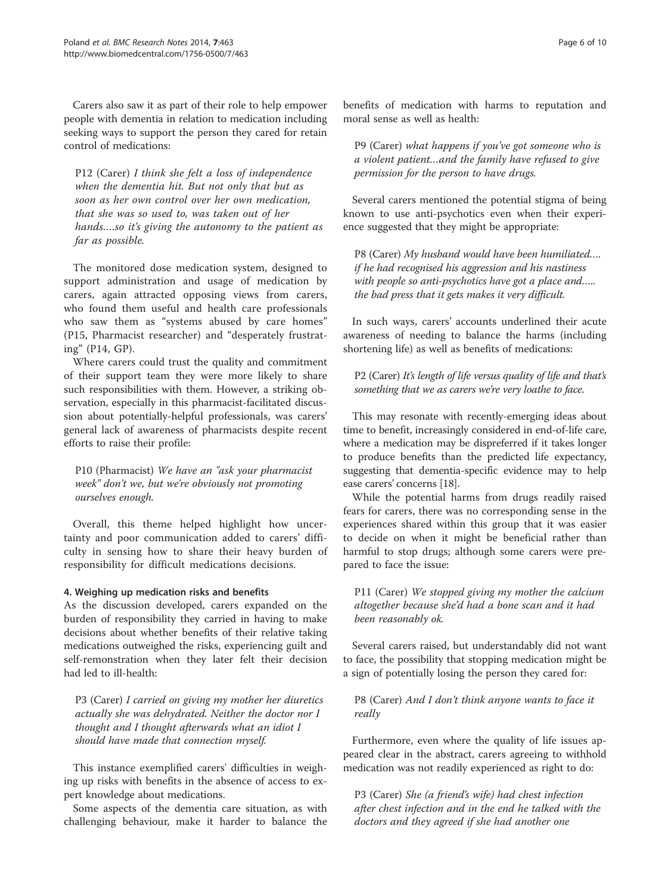<span id="page-5-0"></span>Carers also saw it as part of their role to help empower people with dementia in relation to medication including seeking ways to support the person they cared for retain control of medications:

P12 (Carer) I think she felt a loss of independence when the dementia hit. But not only that but as soon as her own control over her own medication, that she was so used to, was taken out of her hands….so it's giving the autonomy to the patient as far as possible.

The monitored dose medication system, designed to support administration and usage of medication by carers, again attracted opposing views from carers, who found them useful and health care professionals who saw them as "systems abused by care homes" (P15, Pharmacist researcher) and "desperately frustrating" (P14, GP).

Where carers could trust the quality and commitment of their support team they were more likely to share such responsibilities with them. However, a striking observation, especially in this pharmacist-facilitated discussion about potentially-helpful professionals, was carers' general lack of awareness of pharmacists despite recent efforts to raise their profile:

P10 (Pharmacist) We have an "ask your pharmacist week" don't we, but we're obviously not promoting ourselves enough.

Overall, this theme helped highlight how uncertainty and poor communication added to carers' difficulty in sensing how to share their heavy burden of responsibility for difficult medications decisions.

## 4. Weighing up medication risks and benefits

As the discussion developed, carers expanded on the burden of responsibility they carried in having to make decisions about whether benefits of their relative taking medications outweighed the risks, experiencing guilt and self-remonstration when they later felt their decision had led to ill-health:

P3 (Carer) I carried on giving my mother her diuretics actually she was dehydrated. Neither the doctor nor I thought and I thought afterwards what an idiot I should have made that connection myself.

This instance exemplified carers' difficulties in weighing up risks with benefits in the absence of access to expert knowledge about medications.

Some aspects of the dementia care situation, as with challenging behaviour, make it harder to balance the

benefits of medication with harms to reputation and moral sense as well as health:

P9 (Carer) what happens if you've got someone who is a violent patient…and the family have refused to give permission for the person to have drugs.

Several carers mentioned the potential stigma of being known to use anti-psychotics even when their experience suggested that they might be appropriate:

P8 (Carer) My husband would have been humiliated…. if he had recognised his aggression and his nastiness with people so anti-psychotics have got a place and..... the bad press that it gets makes it very difficult.

In such ways, carers' accounts underlined their acute awareness of needing to balance the harms (including shortening life) as well as benefits of medications:

## P2 (Carer) It's length of life versus quality of life and that's something that we as carers we're very loathe to face.

This may resonate with recently-emerging ideas about time to benefit, increasingly considered in end-of-life care, where a medication may be dispreferred if it takes longer to produce benefits than the predicted life expectancy, suggesting that dementia-specific evidence may to help ease carers' concerns [\[18](#page-9-0)].

While the potential harms from drugs readily raised fears for carers, there was no corresponding sense in the experiences shared within this group that it was easier to decide on when it might be beneficial rather than harmful to stop drugs; although some carers were prepared to face the issue:

P11 (Carer) We stopped giving my mother the calcium altogether because she'd had a bone scan and it had been reasonably ok.

Several carers raised, but understandably did not want to face, the possibility that stopping medication might be a sign of potentially losing the person they cared for:

## P8 (Carer) And I don't think anyone wants to face it really

Furthermore, even where the quality of life issues appeared clear in the abstract, carers agreeing to withhold medication was not readily experienced as right to do:

P3 (Carer) She (a friend's wife) had chest infection after chest infection and in the end he talked with the doctors and they agreed if she had another one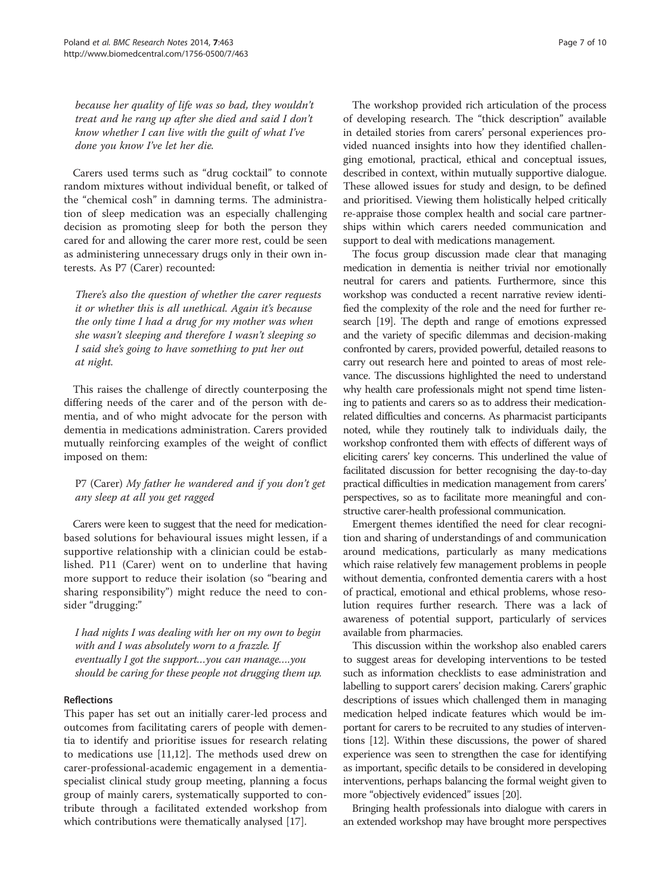because her quality of life was so bad, they wouldn't treat and he rang up after she died and said I don't know whether I can live with the guilt of what I've done you know I've let her die.

Carers used terms such as "drug cocktail" to connote random mixtures without individual benefit, or talked of the "chemical cosh" in damning terms. The administration of sleep medication was an especially challenging decision as promoting sleep for both the person they cared for and allowing the carer more rest, could be seen as administering unnecessary drugs only in their own interests. As P7 (Carer) recounted:

There's also the question of whether the carer requests it or whether this is all unethical. Again it's because the only time I had a drug for my mother was when she wasn't sleeping and therefore I wasn't sleeping so I said she's going to have something to put her out at night.

This raises the challenge of directly counterposing the differing needs of the carer and of the person with dementia, and of who might advocate for the person with dementia in medications administration. Carers provided mutually reinforcing examples of the weight of conflict imposed on them:

## P7 (Carer) My father he wandered and if you don't get any sleep at all you get ragged

Carers were keen to suggest that the need for medicationbased solutions for behavioural issues might lessen, if a supportive relationship with a clinician could be established. P11 (Carer) went on to underline that having more support to reduce their isolation (so "bearing and sharing responsibility") might reduce the need to consider "drugging:"

I had nights I was dealing with her on my own to begin with and I was absolutely worn to a frazzle. If eventually I got the support…you can manage….you should be caring for these people not drugging them up.

## Reflections

This paper has set out an initially carer-led process and outcomes from facilitating carers of people with dementia to identify and prioritise issues for research relating to medications use [[11,12\]](#page-8-0). The methods used drew on carer-professional-academic engagement in a dementiaspecialist clinical study group meeting, planning a focus group of mainly carers, systematically supported to contribute through a facilitated extended workshop from which contributions were thematically analysed [\[17\]](#page-9-0).

The workshop provided rich articulation of the process of developing research. The "thick description" available in detailed stories from carers' personal experiences provided nuanced insights into how they identified challenging emotional, practical, ethical and conceptual issues, described in context, within mutually supportive dialogue. These allowed issues for study and design, to be defined and prioritised. Viewing them holistically helped critically re-appraise those complex health and social care partnerships within which carers needed communication and support to deal with medications management.

The focus group discussion made clear that managing medication in dementia is neither trivial nor emotionally neutral for carers and patients. Furthermore, since this workshop was conducted a recent narrative review identified the complexity of the role and the need for further research [\[19](#page-9-0)]. The depth and range of emotions expressed and the variety of specific dilemmas and decision-making confronted by carers, provided powerful, detailed reasons to carry out research here and pointed to areas of most relevance. The discussions highlighted the need to understand why health care professionals might not spend time listening to patients and carers so as to address their medicationrelated difficulties and concerns. As pharmacist participants noted, while they routinely talk to individuals daily, the workshop confronted them with effects of different ways of eliciting carers' key concerns. This underlined the value of facilitated discussion for better recognising the day-to-day practical difficulties in medication management from carers' perspectives, so as to facilitate more meaningful and constructive carer-health professional communication.

Emergent themes identified the need for clear recognition and sharing of understandings of and communication around medications, particularly as many medications which raise relatively few management problems in people without dementia, confronted dementia carers with a host of practical, emotional and ethical problems, whose resolution requires further research. There was a lack of awareness of potential support, particularly of services available from pharmacies.

This discussion within the workshop also enabled carers to suggest areas for developing interventions to be tested such as information checklists to ease administration and labelling to support carers' decision making. Carers' graphic descriptions of issues which challenged them in managing medication helped indicate features which would be important for carers to be recruited to any studies of interventions [\[12](#page-8-0)]. Within these discussions, the power of shared experience was seen to strengthen the case for identifying as important, specific details to be considered in developing interventions, perhaps balancing the formal weight given to more "objectively evidenced" issues [[20](#page-9-0)].

Bringing health professionals into dialogue with carers in an extended workshop may have brought more perspectives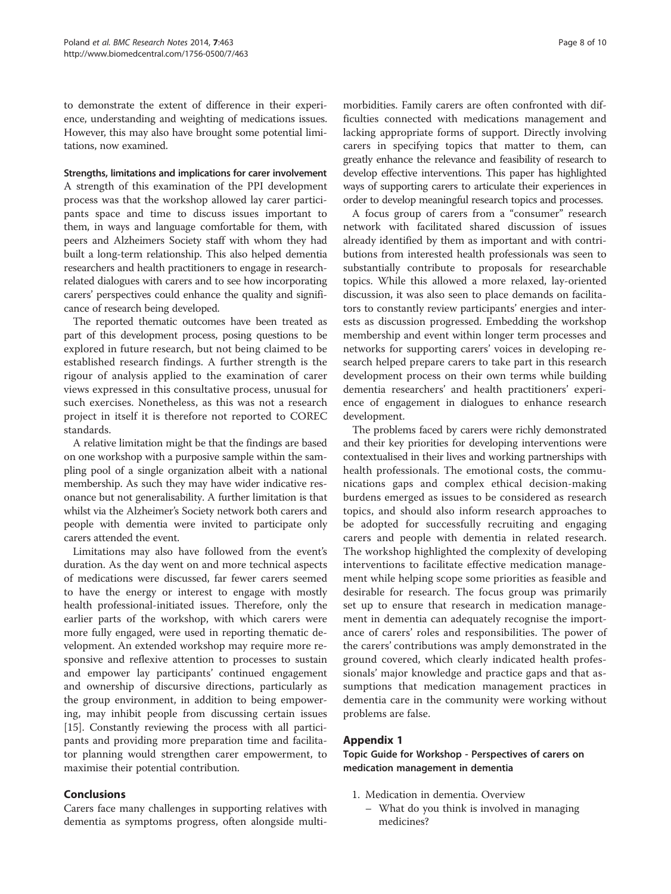to demonstrate the extent of difference in their experience, understanding and weighting of medications issues. However, this may also have brought some potential limitations, now examined.

#### Strengths, limitations and implications for carer involvement

A strength of this examination of the PPI development process was that the workshop allowed lay carer participants space and time to discuss issues important to them, in ways and language comfortable for them, with peers and Alzheimers Society staff with whom they had built a long-term relationship. This also helped dementia researchers and health practitioners to engage in researchrelated dialogues with carers and to see how incorporating carers' perspectives could enhance the quality and significance of research being developed.

The reported thematic outcomes have been treated as part of this development process, posing questions to be explored in future research, but not being claimed to be established research findings. A further strength is the rigour of analysis applied to the examination of carer views expressed in this consultative process, unusual for such exercises. Nonetheless, as this was not a research project in itself it is therefore not reported to COREC standards.

A relative limitation might be that the findings are based on one workshop with a purposive sample within the sampling pool of a single organization albeit with a national membership. As such they may have wider indicative resonance but not generalisability. A further limitation is that whilst via the Alzheimer's Society network both carers and people with dementia were invited to participate only carers attended the event.

Limitations may also have followed from the event's duration. As the day went on and more technical aspects of medications were discussed, far fewer carers seemed to have the energy or interest to engage with mostly health professional-initiated issues. Therefore, only the earlier parts of the workshop, with which carers were more fully engaged, were used in reporting thematic development. An extended workshop may require more responsive and reflexive attention to processes to sustain and empower lay participants' continued engagement and ownership of discursive directions, particularly as the group environment, in addition to being empowering, may inhibit people from discussing certain issues [[15\]](#page-8-0). Constantly reviewing the process with all participants and providing more preparation time and facilitator planning would strengthen carer empowerment, to maximise their potential contribution.

## Conclusions

Carers face many challenges in supporting relatives with dementia as symptoms progress, often alongside multi-

morbidities. Family carers are often confronted with difficulties connected with medications management and lacking appropriate forms of support. Directly involving carers in specifying topics that matter to them, can greatly enhance the relevance and feasibility of research to develop effective interventions. This paper has highlighted ways of supporting carers to articulate their experiences in order to develop meaningful research topics and processes.

A focus group of carers from a "consumer" research network with facilitated shared discussion of issues already identified by them as important and with contributions from interested health professionals was seen to substantially contribute to proposals for researchable topics. While this allowed a more relaxed, lay-oriented discussion, it was also seen to place demands on facilitators to constantly review participants' energies and interests as discussion progressed. Embedding the workshop membership and event within longer term processes and networks for supporting carers' voices in developing research helped prepare carers to take part in this research development process on their own terms while building dementia researchers' and health practitioners' experience of engagement in dialogues to enhance research development.

The problems faced by carers were richly demonstrated and their key priorities for developing interventions were contextualised in their lives and working partnerships with health professionals. The emotional costs, the communications gaps and complex ethical decision-making burdens emerged as issues to be considered as research topics, and should also inform research approaches to be adopted for successfully recruiting and engaging carers and people with dementia in related research. The workshop highlighted the complexity of developing interventions to facilitate effective medication management while helping scope some priorities as feasible and desirable for research. The focus group was primarily set up to ensure that research in medication management in dementia can adequately recognise the importance of carers' roles and responsibilities. The power of the carers' contributions was amply demonstrated in the ground covered, which clearly indicated health professionals' major knowledge and practice gaps and that assumptions that medication management practices in dementia care in the community were working without problems are false.

## Appendix 1

Topic Guide for Workshop - Perspectives of carers on medication management in dementia

- 1. Medication in dementia. Overview
	- What do you think is involved in managing medicines?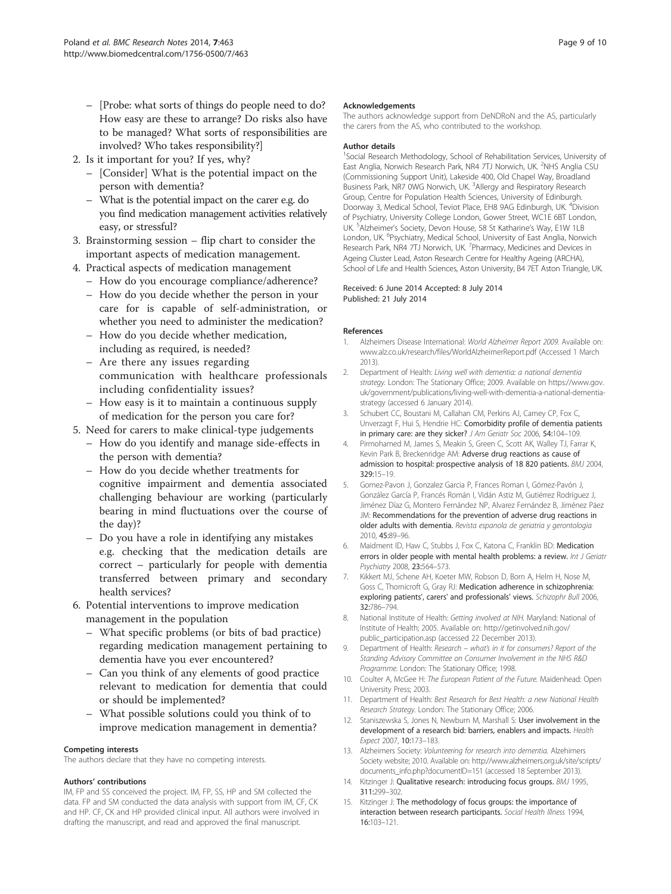- <span id="page-8-0"></span>– [Probe: what sorts of things do people need to do? How easy are these to arrange? Do risks also have to be managed? What sorts of responsibilities are involved? Who takes responsibility?]
- 2. Is it important for you? If yes, why?
	- [Consider] What is the potential impact on the person with dementia?
	- What is the potential impact on the carer e.g. do you find medication management activities relatively easy, or stressful?
- 3. Brainstorming session flip chart to consider the important aspects of medication management.
- 4. Practical aspects of medication management
	- How do you encourage compliance/adherence?
	- How do you decide whether the person in your care for is capable of self-administration, or whether you need to administer the medication?
	- How do you decide whether medication, including as required, is needed?
	- Are there any issues regarding communication with healthcare professionals including confidentiality issues?
	- How easy is it to maintain a continuous supply of medication for the person you care for?
- 5. Need for carers to make clinical-type judgements
	- How do you identify and manage side-effects in the person with dementia?
	- How do you decide whether treatments for cognitive impairment and dementia associated challenging behaviour are working (particularly bearing in mind fluctuations over the course of the day)?
	- Do you have a role in identifying any mistakes e.g. checking that the medication details are correct – particularly for people with dementia transferred between primary and secondary health services?
- 6. Potential interventions to improve medication management in the population
	- What specific problems (or bits of bad practice) regarding medication management pertaining to dementia have you ever encountered?
	- Can you think of any elements of good practice relevant to medication for dementia that could or should be implemented?
	- What possible solutions could you think of to improve medication management in dementia?

#### Competing interests

The authors declare that they have no competing interests.

#### Authors' contributions

IM, FP and SS conceived the project. IM, FP, SS, HP and SM collected the data. FP and SM conducted the data analysis with support from IM, CF, CK and HP. CF, CK and HP provided clinical input. All authors were involved in drafting the manuscript, and read and approved the final manuscript.

#### Acknowledgements

The authors acknowledge support from DeNDRoN and the AS, particularly the carers from the AS, who contributed to the workshop.

#### Author details

<sup>1</sup>Social Research Methodology, School of Rehabilitation Services, University of East Anglia, Norwich Research Park, NR4 7TJ Norwich, UK. <sup>2</sup>NHS Anglia CSU (Commissioning Support Unit), Lakeside 400, Old Chapel Way, Broadland Business Park, NR7 0WG Norwich, UK.<sup>3</sup> Allergy and Respiratory Research Group, Centre for Population Health Sciences, University of Edinburgh. Doorway 3, Medical School, Teviot Place, EH8 9AG Edinburgh, UK. <sup>4</sup>Division of Psychiatry, University College London, Gower Street, WC1E 6BT London, UK. <sup>5</sup>Alzheimer's Society, Devon House, 58 St Katharine's Way, E1W 1LB London, UK. <sup>6</sup>Psychiatry, Medical School, University of East Anglia, Norwich Research Park, NR4 7TJ Norwich, UK. <sup>7</sup>Pharmacy, Medicines and Devices in Ageing Cluster Lead, Aston Research Centre for Healthy Ageing (ARCHA), School of Life and Health Sciences, Aston University, B4 7ET Aston Triangle, UK.

#### Received: 6 June 2014 Accepted: 8 July 2014 Published: 21 July 2014

#### References

- 1. Alzheimers Disease International: World Alzheimer Report 2009. Available on: [www.alz.co.uk/research/files/WorldAlzheimerReport.pdf](http://www.alz.co.uk/research/files/WorldAlzheimerReport.pdf) (Accessed 1 March 2013).
- 2. Department of Health: Living well with dementia: a national dementia strategy. London: The Stationary Office; 2009. Available on [https://www.gov.](https://www.gov.uk/government/publications/living-well-with-dementia-a-national-dementia-strategy) [uk/government/publications/living-well-with-dementia-a-national-dementia](https://www.gov.uk/government/publications/living-well-with-dementia-a-national-dementia-strategy)[strategy](https://www.gov.uk/government/publications/living-well-with-dementia-a-national-dementia-strategy) (accessed 6 January 2014).
- 3. Schubert CC, Boustani M, Callahan CM, Perkins AJ, Carney CP, Fox C, Unverzagt F, Hui S, Hendrie HC: Comorbidity profile of dementia patients in primary care: are they sicker? J Am Geriatr Soc 2006, 54:104-109.
- 4. Pirmohamed M, James S, Meakin S, Green C, Scott AK, Walley TJ, Farrar K, Kevin Park B, Breckenridge AM: Adverse drug reactions as cause of admission to hospital: prospective analysis of 18 820 patients. BMJ 2004, 329:15–19.
- 5. Gomez-Pavon J, Gonzalez Garcia P, Frances Roman I, Gómez-Pavón J, González García P, Francés Román I, Vidán Astiz M, Gutiérrez Rodríguez J, Jiménez Díaz G, Montero Fernández NP, Alvarez Fernández B, Jiménez Páez JM: Recommendations for the prevention of adverse drug reactions in older adults with dementia. Revista espanola de geriatria y gerontologia 2010, 45:89–96.
- 6. Maidment ID, Haw C, Stubbs J, Fox C, Katona C, Franklin BD: Medication errors in older people with mental health problems: a review. Int J Geriatr Psychiatry 2008, 23:564–573.
- Kikkert MJ, Schene AH, Koeter MW, Robson D, Born A, Helm H, Nose M, Goss C, Thornicroft G, Gray RJ: Medication adherence in schizophrenia: exploring patients', carers' and professionals' views. Schizophr Bull 2006, 32:786–794.
- 8. National Institute of Health: Getting involved at NIH. Maryland: National of Institute of Health; 2005. Available on: [http://getinvolved.nih.gov/](http://getinvolved.nih.gov/public_participation.asp) [public\\_participation.asp](http://getinvolved.nih.gov/public_participation.asp) (accessed 22 December 2013).
- 9. Department of Health: Research what's in it for consumers? Report of the Standing Advisory Committee on Consumer Involvement in the NHS R&D Programme. London: The Stationary Office; 1998.
- 10. Coulter A, McGee H: The European Patient of the Future. Maidenhead: Open University Press; 2003.
- 11. Department of Health: Best Research for Best Health: a new National Health Research Strategy. London: The Stationary Office; 2006.
- 12. Staniszewska S, Jones N, Newburn M, Marshall S: User involvement in the development of a research bid: barriers, enablers and impacts. Health Expect 2007, 10:173–183.
- 13. Alzheimers Society: Volunteering for research into dementia. Alzehimers Society website; 2010. Available on: [http://www.alzheimers.org.uk/site/scripts/](http://www.alzheimers.org.uk/site/scripts/documents_info.php?documentID=151) [documents\\_info.php?documentID=151](http://www.alzheimers.org.uk/site/scripts/documents_info.php?documentID=151) (accessed 18 September 2013).
- 14. Kitzinger J: Qualitative research: introducing focus groups. BMJ 1995, 311:299–302.
- 15. Kitzinger J: The methodology of focus groups: the importance of interaction between research participants. Social Health Illness 1994, 16:103–121.